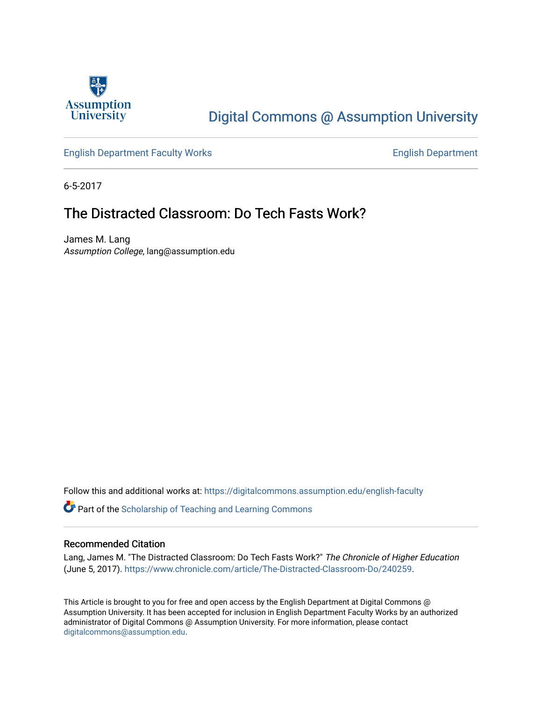

# [Digital Commons @ Assumption University](https://digitalcommons.assumption.edu/)

[English Department Faculty Works](https://digitalcommons.assumption.edu/english-faculty) **English Department** 

6-5-2017

## The Distracted Classroom: Do Tech Fasts Work?

James M. Lang Assumption College, lang@assumption.edu

Follow this and additional works at: [https://digitalcommons.assumption.edu/english-faculty](https://digitalcommons.assumption.edu/english-faculty?utm_source=digitalcommons.assumption.edu%2Fenglish-faculty%2F29&utm_medium=PDF&utm_campaign=PDFCoverPages) 

**P** Part of the Scholarship of Teaching and Learning Commons

#### Recommended Citation

Lang, James M. "The Distracted Classroom: Do Tech Fasts Work?" The Chronicle of Higher Education (June 5, 2017). <https://www.chronicle.com/article/The-Distracted-Classroom-Do/240259>.

This Article is brought to you for free and open access by the English Department at Digital Commons @ Assumption University. It has been accepted for inclusion in English Department Faculty Works by an authorized administrator of Digital Commons @ Assumption University. For more information, please contact [digitalcommons@assumption.edu](mailto:digitalcommons@assumption.edu).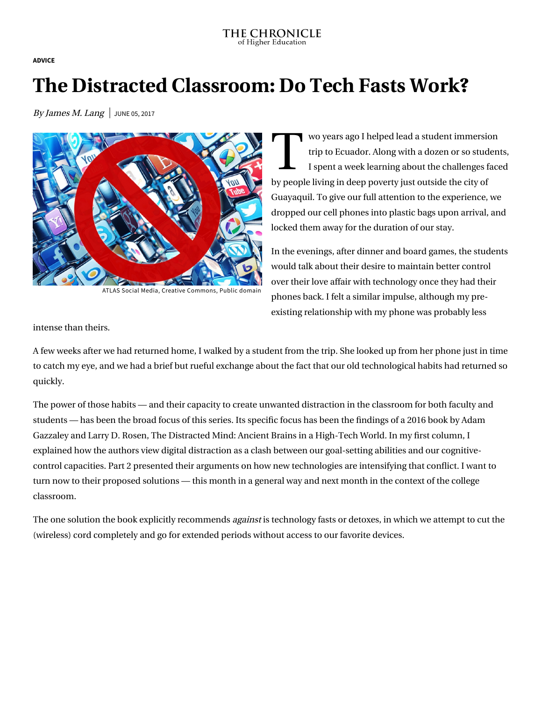#### THE CHRONICLE of Higher Education

**[ADVICE](https://www.chronicle.com/section/Advice/66)**

# **The Distracted Classroom: Do Tech Fasts Work?**

By James M. Lang JUNE 05, 2017



ATLAS Social Media, Creative [Commons](https://creativecommons.org/publicdomain/mark/1.0/), Public domain

WO ye wo years ago I helped lead a student immersion trip to Ecuador. Along with a dozen or so students, I spent a week learning about the challenges faced by [people living in deep poverty](http://www.rostrodecristo.org/where-we-work/mt-sinai) just outside the city of Guayaquil. To give our full attention to the experience, we dropped our cell phones into plastic bags upon arrival, and locked them away for the duration of our stay.

In the evenings, after dinner and board games, the students would talk about their desire to maintain better control over their love affair with technology once they had their phones back. I felt a similar impulse, although my preexisting relationship with my phone was probably less

intense than theirs.

A few weeks after we had returned home, I walked by a student from the trip. She looked up from her phone just in time to catch my eye, and we had a brief but rueful exchange about the fact that our old technological habits had returned so quickly.

The power of those habits — and their capacity to create unwanted distraction in the classroom for both faculty and students — has been the broad focus of this series. Its specific focus has been the findings of a 2016 book by Adam Gazzaley and Larry D. Rosen, [The Distracted Mind: Ancient Brains in a High-Tech World](https://www.amazon.com/Distracted-Mind-Ancient-Brains-High-Tech/dp/0262034948). In [my first column,](http://www.chronicle.com/article/The-Distracted-Classroom/239446) I explained how the authors view digital distraction as a clash between our goal-setting abilities and our cognitivecontrol capacities. [Part 2](http://www.chronicle.com/article/The-Distracted-Classroom-Is/239785) presented their arguments on how new technologies are intensifying that conflict. I want to turn now to their proposed solutions — this month in a general way and next month in the context of the college classroom.

The one solution the book explicitly recommends *against* is technology fasts or detoxes, in which we attempt to cut the (wireless) cord completely and go for extended periods without access to our favorite devices.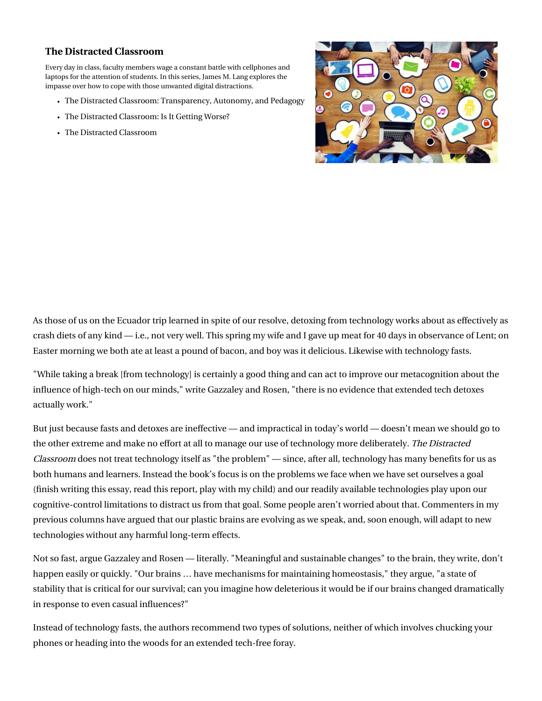### **[The Distracted Classroom](https://www.chronicle.com/specialreport/The-Distracted-Classroom/120?cid=RCPACKAGE)**

Every day in class, faculty members wage a constant battle with cellphones and laptops for the attention of students. In this series, James M. Lang explores the impasse over how to cope with those unwanted digital distractions.

- [The Distracted Classroom: Transparency, Autonomy, and Pedagogy](https://www.chronicle.com/article/The-Distracted-Classroom-/240797?cid=RCPACKAGE)
- [The Distracted Classroom: Is It Getting Worse?](https://www.chronicle.com/article/The-Distracted-Classroom-Is/239785?cid=RCPACKAGE)
- [The Distracted Classroom](https://www.chronicle.com/article/The-Distracted-Classroom/239446?cid=RCPACKAGE)



As those of us on the Ecuador trip learned in spite of our resolve, detoxing from technology works about as effectively as crash diets of any kind — i.e., not very well. This spring my wife and I gave up meat for 40 days in observance of Lent; on Easter morning we both ate at least a pound of bacon, and boy was it delicious. Likewise with technology fasts.

"While taking a break [from technology] is certainly a good thing and can act to improve our metacognition about the influence of high-tech on our minds," write Gazzaley and Rosen, "there is no evidence that extended tech detoxes actually work."

But just because fasts and detoxes are ineffective — and impractical in today's world — doesn't mean we should go to the other extreme and make no effort at all to manage our use of technology more deliberately. The Distracted Classroom does not treat technology itself as "the problem" — since, after all, technology has many benefits for us as both humans and learners. Instead the book's focus is on the problems we face when we have set ourselves a goal (finish writing this essay, read this report, play with my child) and our readily available technologies play upon our cognitive-control limitations to distract us from that goal. Some people aren't worried about that. Commenters in my previous columns have argued that our plastic brains are evolving as we speak, and, soon enough, will adapt to new technologies without any harmful long-term effects.

Not so fast, argue Gazzaley and Rosen — literally. "Meaningful and sustainable changes" to the brain, they write, don't happen easily or quickly. "Our brains … have mechanisms for maintaining homeostasis," they argue, "a state of stability that is critical for our survival; can you imagine how deleterious it would be if our brains changed dramatically in response to even casual influences?"

Instead of technology fasts, the authors recommend two types of solutions, neither of which involves chucking your phones or heading into the woods for an extended tech-free foray.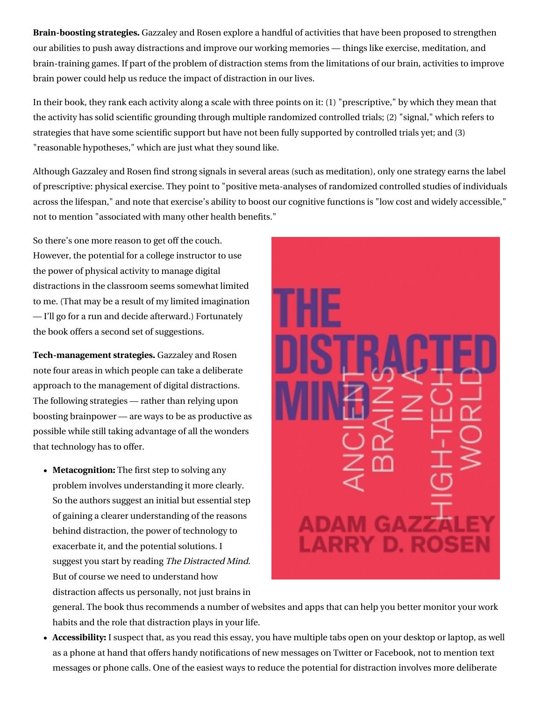**Brain-boosting strategies.** Gazzaley and Rosen explore a handful of activities that have been proposed to strengthen our abilities to push away distractions and improve our working memories — things like exercise, meditation, and brain-training games. If part of the problem of distraction stems from the limitations of our brain, activities to improve brain power could help us reduce the impact of distraction in our lives.

In their book, they rank each activity along a scale with three points on it: (1) "prescriptive," by which they mean that the activity has solid scientific grounding through multiple randomized controlled trials; (2) "signal," which refers to strategies that have some scientific support but have not been fully supported by controlled trials yet; and (3) "reasonable hypotheses," which are just what they sound like.

Although Gazzaley and Rosen find strong signals in several areas (such as meditation), only one strategy earns the label of prescriptive: physical exercise. They point to "positive meta-analyses of randomized controlled studies of individuals across the lifespan," and note that exercise's ability to boost our cognitive functions is "low cost and widely accessible," not to mention "associated with many other health benefits."

So there's one more reason to get off the couch. However, the potential for a college instructor to use the power of physical activity to manage digital distractions in the classroom seems somewhat limited to me. (That may be a result of my limited imagination — I'll go for a run and decide afterward.) Fortunately the book offers a second set of suggestions.

**Tech-management strategies.** Gazzaley and Rosen note four areas in which people can take a deliberate approach to the management of digital distractions. The following strategies — rather than relying upon boosting brainpower — are ways to be as productive as possible while still taking advantage of all the wonders that technology has to offer.

**Metacognition:** The first step to solving any problem involves understanding it more clearly. So the authors suggest an initial but essential step of gaining a clearer understanding of the reasons behind distraction, the power of technology to exacerbate it, and the potential solutions. I suggest you start by reading The Distracted Mind. But of course we need to understand how distraction affects us personally, not just brains in



general. The book thus recommends a number of websites and apps that can help you better monitor your work habits and the role that distraction plays in your life.

**Accessibility:** I suspect that, as you read this essay, you have multiple tabs open on your desktop or laptop, as well as a phone at hand that offers handy notifications of new messages on Twitter or Facebook, not to mention text messages or phone calls. One of the easiest ways to reduce the potential for distraction involves more deliberate